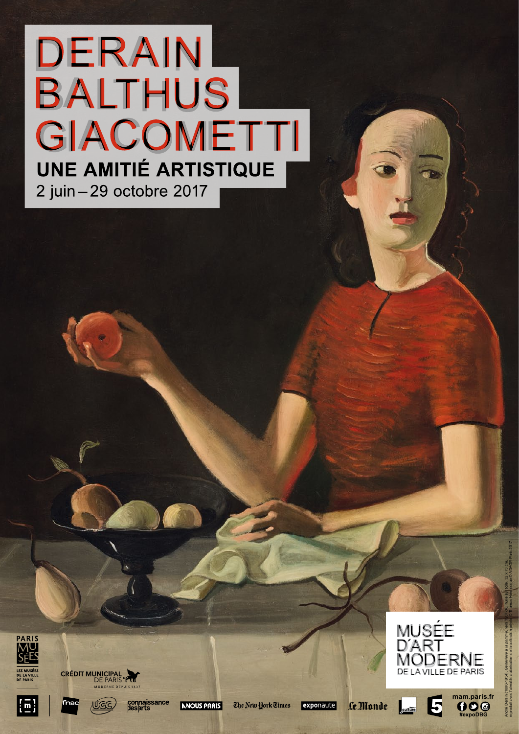# **DERAIN BALTHUS** GIACOMETTI **UNE AMITIÉ ARTISTIQUE** 2 juin - 29 octobre 2017



 $\lfloor \bar{\text{n}} \rfloor$ 









The New York Times

























**MUSÉE** 

**D'ART** 



MODERNE DE LA VILLE DE PARIS

**mam.paris.fr**

**#expoDBG**

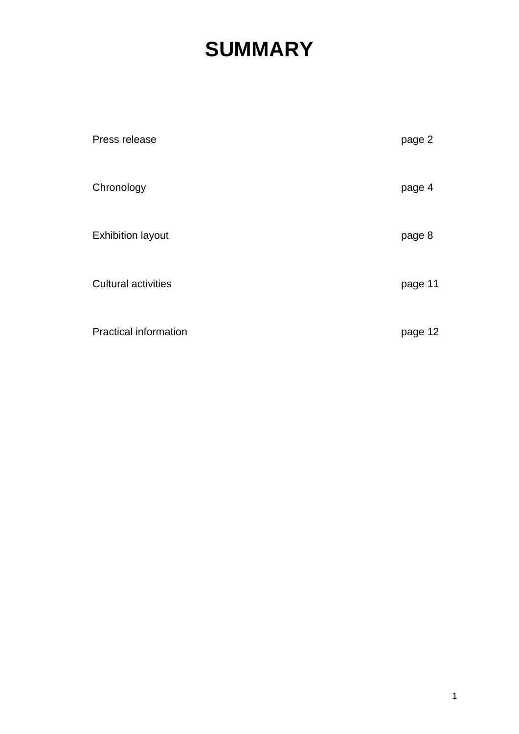# **SUMMARY**

| Press release                | page 2  |
|------------------------------|---------|
| Chronology                   | page 4  |
| <b>Exhibition layout</b>     | page 8  |
| <b>Cultural activities</b>   | page 11 |
| <b>Practical information</b> | page 12 |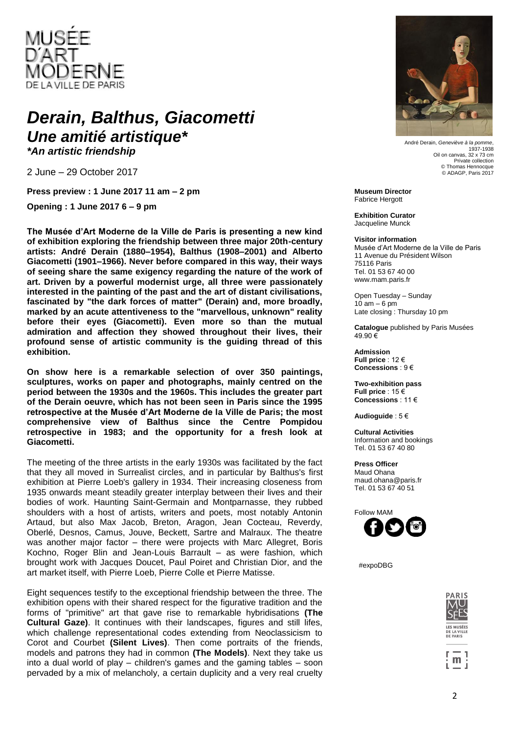

### Derain, Balthus, Giacometti *Une amitié artistique\**

*\*An artistic friendship*

2 June – 29 October 2017

**Press preview : 1 June 2017 11 am – 2 pm**

**Opening : 1 June 2017 6 – 9 pm**

**The Musée d'Art Moderne de la Ville de Paris is presenting a new kind of exhibition exploring the friendship between three major 20th-century artists: André Derain (1880–1954), Balthus (1908–2001) and Alberto Giacometti (1901–1966). Never before compared in this way, their ways of seeing share the same exigency regarding the nature of the work of art. Driven by a powerful modernist urge, all three were passionately interested in the painting of the past and the art of distant civilisations, fascinated by "the dark forces of matter" (Derain) and, more broadly, marked by an acute attentiveness to the "marvellous, unknown" reality before their eyes (Giacometti). Even more so than the mutual admiration and affection they showed throughout their lives, their profound sense of artistic community is the guiding thread of this exhibition.**

**On show here is a remarkable selection of over 350 paintings, sculptures, works on paper and photographs, mainly centred on the period between the 1930s and the 1960s. This includes the greater part of the Derain oeuvre, which has not been seen in Paris since the 1995 retrospective at the Musée d'Art Moderne de la Ville de Paris; the most comprehensive view of Balthus since the Centre Pompidou retrospective in 1983; and the opportunity for a fresh look at Giacometti.**

The meeting of the three artists in the early 1930s was facilitated by the fact that they all moved in Surrealist circles, and in particular by Balthus's first exhibition at Pierre Loeb's gallery in 1934. Their increasing closeness from 1935 onwards meant steadily greater interplay between their lives and their bodies of work. Haunting Saint-Germain and Montparnasse, they rubbed shoulders with a host of artists, writers and poets, most notably Antonin Artaud, but also Max Jacob, Breton, Aragon, Jean Cocteau, Reverdy, Oberlé, Desnos, Camus, Jouve, Beckett, Sartre and Malraux. The theatre was another major factor – there were projects with Marc Allegret, Boris Kochno, Roger Blin and Jean-Louis Barrault – as were fashion, which brought work with Jacques Doucet, Paul Poiret and Christian Dior, and the art market itself, with Pierre Loeb, Pierre Colle et Pierre Matisse.

Eight sequences testify to the exceptional friendship between the three. The exhibition opens with their shared respect for the figurative tradition and the forms of "primitive" art that gave rise to remarkable hybridisations **(The Cultural Gaze)**. It continues with their landscapes, figures and still lifes, which challenge representational codes extending from Neoclassicism to Corot and Courbet **(Silent Lives)**. Then come portraits of the friends, models and patrons they had in common **(The Models)**. Next they take us into a dual world of play – children's games and the gaming tables – soon pervaded by a mix of melancholy, a certain duplicity and a very real cruelty



André Derain, *Geneviève à la pomme*, 1937-1938 Oil on canyas, 32 x 73 cm Private collection<br>© Thomas Hennocque © ADAGP, Paris 2017

**Museum Director** Fabrice Hergott

**Exhibition Curator** Jacqueline Munck

#### **Visitor information**

Musée d'Art Moderne de la Ville de Paris 11 Avenue du Président Wilson 75116 Paris Tel. 01 53 67 40 00 www.mam.paris.fr

Open Tuesday – Sunday  $10$  am  $-6$  pm Late closing : Thursday 10 pm

**Catalogue** published by Paris Musées 49.90 €

**Admission Full price** : 12 € **Concessions** : 9 €

**Two-exhibition pass Full price** : 15 € **Concessions** : 11 €

**Audioguide** : 5 €

**Cultural Activities** Information and bookings Tel. 01 53 67 40 80

**Press Officer** Maud Ohana maud.ohana@paris.fr Tel. 01 53 67 40 51



#expoDBG



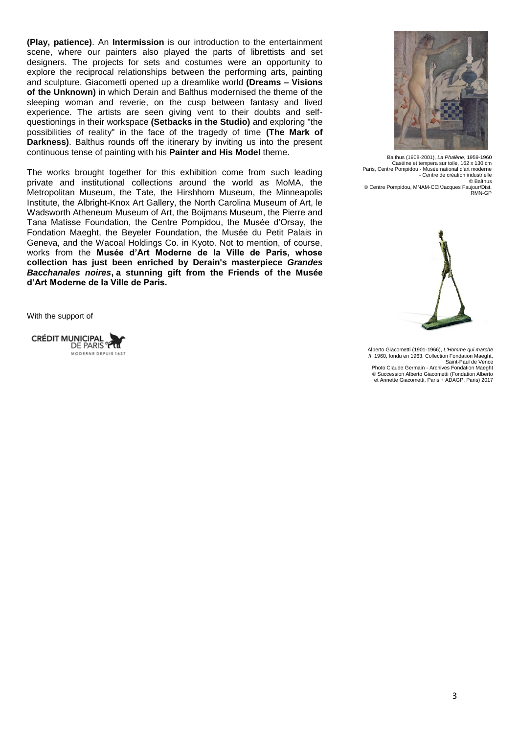**(Play, patience)**. An **Intermission** is our introduction to the entertainment scene, where our painters also played the parts of librettists and set designers. The projects for sets and costumes were an opportunity to explore the reciprocal relationships between the performing arts, painting and sculpture. Giacometti opened up a dreamlike world **(Dreams – Visions of the Unknown)** in which Derain and Balthus modernised the theme of the sleeping woman and reverie, on the cusp between fantasy and lived experience. The artists are seen giving vent to their doubts and selfquestionings in their workspace **(Setbacks in the Studio)** and exploring "the possibilities of reality" in the face of the tragedy of time **(The Mark of Darkness).** Balthus rounds off the itinerary by inviting us into the present continuous tense of painting with his **Painter and His Model** theme.

The works brought together for this exhibition come from such leading private and institutional collections around the world as MoMA, the Metropolitan Museum, the Tate, the Hirshhorn Museum, the Minneapolis Institute, the Albright-Knox Art Gallery, the North Carolina Museum of Art, le Wadsworth Atheneum Museum of Art, the Boijmans Museum, the Pierre and Tana Matisse Foundation, the Centre Pompidou, the Musée d'Orsay, the Fondation Maeght, the Beyeler Foundation, the Musée du Petit Palais in Geneva, and the Wacoal Holdings Co. in Kyoto. Not to mention, of course, works from the **Musée d'Art Moderne de la Ville de Paris, whose collection has just been enriched by Derain's masterpiece** *Grandes Bacchanales noires***, a stunning gift from the Friends of the Musée d'Art Moderne de la Ville de Paris.**

With the support of





Balthus (1908-2001), *La Phalène*, 1959-1960 Caséine et tempera sur toile, 162 x 130 cm Paris, Centre Pompidou - Musée national d'art moderne - Centre de création industrielle © Balthus © Centre Pompidou, MNAM-CCI/Jacques Faujour/Dist.

RMN-GP



Alberto Giacometti (1901-1966), *L'Homme qui marche II*, 1960, fondu en 1963, Collection Fondation Maeght, Saint-Paul de Vence Photo Claude Germain - Archives Fondation Maeght © Succession Alberto Giacometti (Fondation Alberto et Annette Giacometti, Paris + ADAGP, Paris) 2017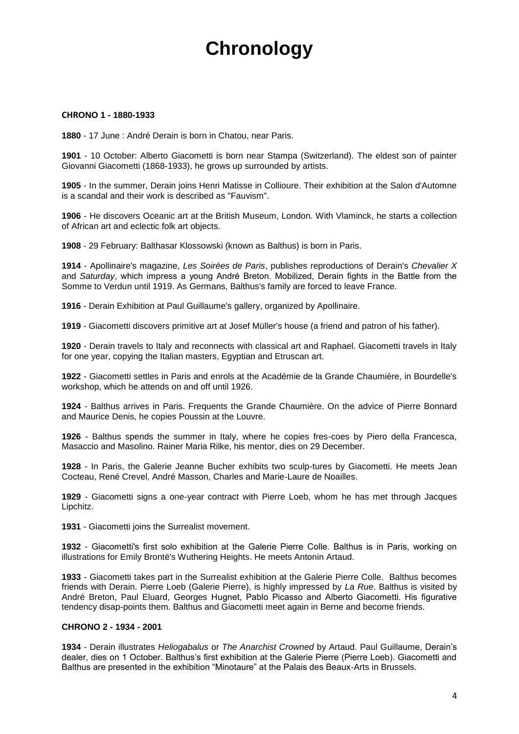# **Chronology**

#### **CHRONO 1 - 1880-1933**

**1880** - 17 June : André Derain is born in Chatou, near Paris.

**1901** - 10 October: Alberto Giacometti is born near Stampa (Switzerland). The eldest son of painter Giovanni Giacometti (1868-1933), he grows up surrounded by artists.

**1905** - In the summer, Derain joins Henri Matisse in Collioure. Their exhibition at the Salon d'Automne is a scandal and their work is described as "Fauvism".

**1906** - He discovers Oceanic art at the British Museum, London. With Vlaminck, he starts a collection of African art and eclectic folk art objects.

**1908** - 29 February: Balthasar Klossowski (known as Balthus) is born in Paris.

**1914** - Apollinaire's magazine, *Les Soirées de Paris*, publishes reproductions of Derain's *Chevalier X* and *Saturday*, which impress a young André Breton. Mobilized, Derain fights in the Battle from the Somme to Verdun until 1919. As Germans, Balthus's family are forced to leave France.

**1916** - Derain Exhibition at Paul Guillaume's gallery, organized by Apollinaire.

**1919** - Giacometti discovers primitive art at Josef Müller's house (a friend and patron of his father).

**1920** - Derain travels to Italy and reconnects with classical art and Raphael. Giacometti travels in Italy for one year, copying the Italian masters, Egyptian and Etruscan art.

**1922** - Giacometti settles in Paris and enrols at the Académie de la Grande Chaumière, in Bourdelle's workshop, which he attends on and off until 1926.

**1924** - Balthus arrives in Paris. Frequents the Grande Chaumière. On the advice of Pierre Bonnard and Maurice Denis, he copies Poussin at the Louvre.

**1926** - Balthus spends the summer in Italy, where he copies fres-coes by Piero della Francesca, Masaccio and Masolino. Rainer Maria Rilke, his mentor, dies on 29 December.

**1928** - In Paris, the Galerie Jeanne Bucher exhibits two sculp-tures by Giacometti. He meets Jean Cocteau, René Crevel, André Masson, Charles and Marie-Laure de Noailles.

**1929** - Giacometti signs a one-year contract with Pierre Loeb, whom he has met through Jacques Lipchitz.

**1931** - Giacometti joins the Surrealist movement.

**1932** - Giacometti's first solo exhibition at the Galerie Pierre Colle. Balthus is in Paris, working on illustrations for Emily Brontë's Wuthering Heights. He meets Antonin Artaud.

**1933** - Giacometti takes part in the Surrealist exhibition at the Galerie Pierre Colle. Balthus becomes friends with Derain. Pierre Loeb (Galerie Pierre), is highly impressed by *La Rue*. Balthus is visited by André Breton, Paul Eluard, Georges Hugnet, Pablo Picasso and Alberto Giacometti. His figurative tendency disap-points them. Balthus and Giacometti meet again in Berne and become friends.

#### **CHRONO 2 - 1934 - 2001**

**1934** - Derain illustrates *Heliogabalus* or *The Anarchist Crowned* by Artaud. Paul Guillaume, Derain's dealer, dies on 1 October. Balthus's first exhibition at the Galerie Pierre (Pierre Loeb). Giacometti and Balthus are presented in the exhibition "Minotaure" at the Palais des Beaux-Arts in Brussels.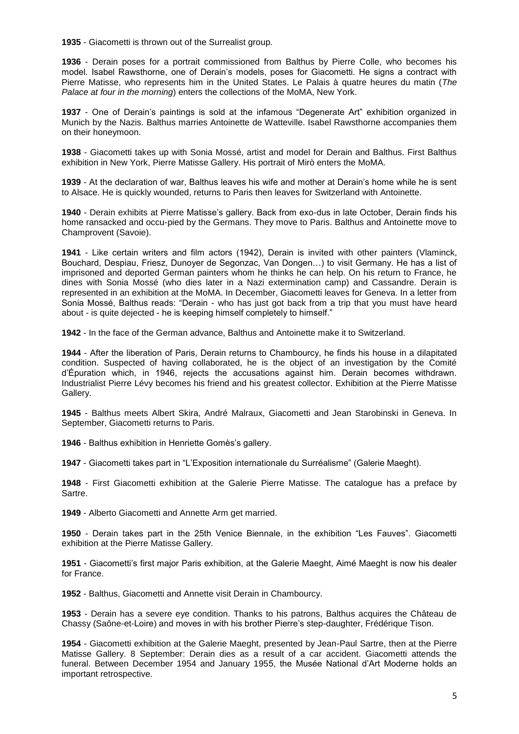**1935** - Giacometti is thrown out of the Surrealist group.

**1936** - Derain poses for a portrait commissioned from Balthus by Pierre Colle, who becomes his model. Isabel Rawsthorne, one of Derain's models, poses for Giacometti. He signs a contract with Pierre Matisse, who represents him in the United States. Le Palais à quatre heures du matin (*The Palace at four in the morning*) enters the collections of the MoMA, New York.

**1937** - One of Derain's paintings is sold at the infamous "Degenerate Art" exhibition organized in Munich by the Nazis. Balthus marries Antoinette de Watteville. Isabel Rawsthorne accompanies them on their honeymoon.

**1938** - Giacometti takes up with Sonia Mossé, artist and model for Derain and Balthus. First Balthus exhibition in New York, Pierre Matisse Gallery. His portrait of Mirò enters the MoMA.

**1939** - At the declaration of war, Balthus leaves his wife and mother at Derain's home while he is sent to Alsace. He is quickly wounded, returns to Paris then leaves for Switzerland with Antoinette.

**1940** - Derain exhibits at Pierre Matisse's gallery. Back from exo-dus in late October, Derain finds his home ransacked and occu-pied by the Germans. They move to Paris. Balthus and Antoinette move to Champrovent (Savoie).

**1941** - Like certain writers and film actors (1942), Derain is invited with other painters (Vlaminck, Bouchard, Despiau, Friesz, Dunoyer de Segonzac, Van Dongen…) to visit Germany. He has a list of imprisoned and deported German painters whom he thinks he can help. On his return to France, he dines with Sonia Mossé (who dies later in a Nazi extermination camp) and Cassandre. Derain is represented in an exhibition at the MoMA. In December, Giacometti leaves for Geneva. In a letter from Sonia Mossé, Balthus reads: "Derain - who has just got back from a trip that you must have heard about - is quite dejected - he is keeping himself completely to himself."

**1942** - In the face of the German advance, Balthus and Antoinette make it to Switzerland.

**1944** - After the liberation of Paris, Derain returns to Chambourcy, he finds his house in a dilapitated condition. Suspected of having collaborated, he is the object of an investigation by the Comité d'Épuration which, in 1946, rejects the accusations against him. Derain becomes withdrawn. Industrialist Pierre Lévy becomes his friend and his greatest collector. Exhibition at the Pierre Matisse Gallery.

**1945** - Balthus meets Albert Skira, André Malraux, Giacometti and Jean Starobinski in Geneva. In September, Giacometti returns to Paris.

**1946** - Balthus exhibition in Henriette Gomès's gallery.

**1947** - Giacometti takes part in "L'Exposition internationale du Surréalisme" (Galerie Maeght).

**1948** - First Giacometti exhibition at the Galerie Pierre Matisse. The catalogue has a preface by Sartre.

**1949** - Alberto Giacometti and Annette Arm get married.

**1950** - Derain takes part in the 25th Venice Biennale, in the exhibition "Les Fauves". Giacometti exhibition at the Pierre Matisse Gallery.

**1951** - Giacometti's first major Paris exhibition, at the Galerie Maeght, Aimé Maeght is now his dealer for France.

**1952** - Balthus, Giacometti and Annette visit Derain in Chambourcy.

**1953** - Derain has a severe eye condition. Thanks to his patrons, Balthus acquires the Château de Chassy (Saône-et-Loire) and moves in with his brother Pierre's step-daughter, Frédérique Tison.

**1954** - Giacometti exhibition at the Galerie Maeght, presented by Jean-Paul Sartre, then at the Pierre Matisse Gallery. 8 September: Derain dies as a result of a car accident. Giacometti attends the funeral. Between December 1954 and January 1955, the Musée National d'Art Moderne holds an important retrospective.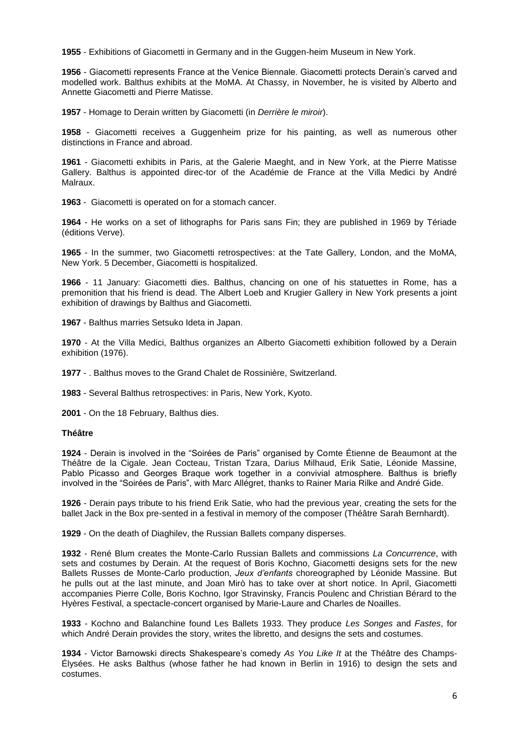**1955** - Exhibitions of Giacometti in Germany and in the Guggen-heim Museum in New York.

**1956** - Giacometti represents France at the Venice Biennale. Giacometti protects Derain's carved and modelled work. Balthus exhibits at the MoMA. At Chassy, in November, he is visited by Alberto and Annette Giacometti and Pierre Matisse.

**1957** - Homage to Derain written by Giacometti (in *Derrière le miroir*).

**1958** - Giacometti receives a Guggenheim prize for his painting, as well as numerous other distinctions in France and abroad.

**1961** - Giacometti exhibits in Paris, at the Galerie Maeght, and in New York, at the Pierre Matisse Gallery. Balthus is appointed direc-tor of the Académie de France at the Villa Medici by André Malraux.

**1963** - Giacometti is operated on for a stomach cancer.

**1964** - He works on a set of lithographs for Paris sans Fin; they are published in 1969 by Tériade (éditions Verve).

**1965** - In the summer, two Giacometti retrospectives: at the Tate Gallery, London, and the MoMA, New York. 5 December, Giacometti is hospitalized.

**1966** - 11 January: Giacometti dies. Balthus, chancing on one of his statuettes in Rome, has a premonition that his friend is dead. The Albert Loeb and Krugier Gallery in New York presents a joint exhibition of drawings by Balthus and Giacometti.

**1967** - Balthus marries Setsuko Ideta in Japan.

**1970** - At the Villa Medici, Balthus organizes an Alberto Giacometti exhibition followed by a Derain exhibition (1976).

**1977** - . Balthus moves to the Grand Chalet de Rossinière, Switzerland.

**1983** - Several Balthus retrospectives: in Paris, New York, Kyoto.

**2001** - On the 18 February, Balthus dies.

#### **Théâtre**

**1924** - Derain is involved in the "Soirées de Paris" organised by Comte Étienne de Beaumont at the Théâtre de la Cigale. Jean Cocteau, Tristan Tzara, Darius Milhaud, Erik Satie, Léonide Massine, Pablo Picasso and Georges Braque work together in a convivial atmosphere. Balthus is briefly involved in the "Soirées de Paris", with Marc Allégret, thanks to Rainer Maria Rilke and André Gide.

**1926** - Derain pays tribute to his friend Erik Satie, who had the previous year, creating the sets for the ballet Jack in the Box pre-sented in a festival in memory of the composer (Théâtre Sarah Bernhardt).

**1929** - On the death of Diaghilev, the Russian Ballets company disperses.

**1932** - René Blum creates the Monte-Carlo Russian Ballets and commissions *La Concurrence*, with sets and costumes by Derain. At the request of Boris Kochno, Giacometti designs sets for the new Ballets Russes de Monte-Carlo production, *Jeux d'enfants* choreographed by Léonide Massine. But he pulls out at the last minute, and Joan Mirò has to take over at short notice. In April, Giacometti accompanies Pierre Colle, Boris Kochno, Igor Stravinsky, Francis Poulenc and Christian Bérard to the Hyères Festival, a spectacle-concert organised by Marie-Laure and Charles de Noailles.

**1933** - Kochno and Balanchine found Les Ballets 1933. They produce *Les Songes* and *Fastes*, for which André Derain provides the story, writes the libretto, and designs the sets and costumes.

**1934** - Victor Barnowski directs Shakespeare's comedy *As You Like It* at the Théâtre des Champs-Élysées. He asks Balthus (whose father he had known in Berlin in 1916) to design the sets and costumes.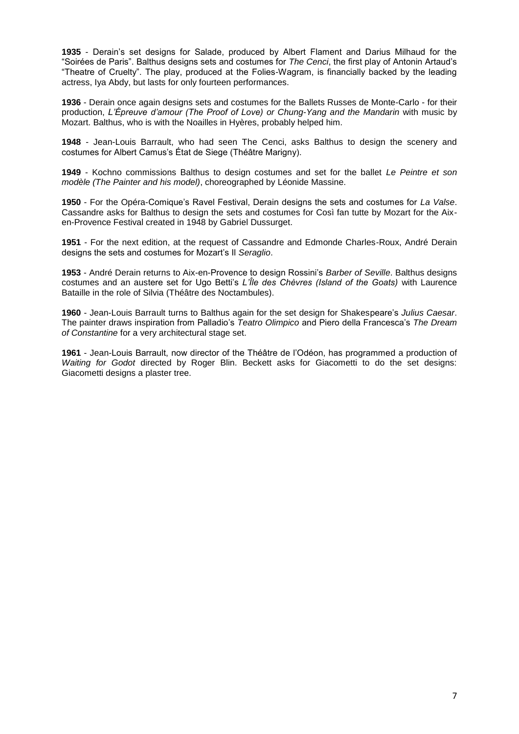**1935** - Derain's set designs for Salade, produced by Albert Flament and Darius Milhaud for the "Soirées de Paris". Balthus designs sets and costumes for *The Cenci*, the first play of Antonin Artaud's "Theatre of Cruelty". The play, produced at the Folies-Wagram, is financially backed by the leading actress, Iya Abdy, but lasts for only fourteen performances.

**1936** - Derain once again designs sets and costumes for the Ballets Russes de Monte-Carlo - for their production, *L'Épreuve d'amour (The Proof of Love) or Chung-Yang and the Mandarin* with music by Mozart. Balthus, who is with the Noailles in Hyères, probably helped him.

**1948** - Jean-Louis Barrault, who had seen The Cenci, asks Balthus to design the scenery and costumes for Albert Camus's État de Siege (Théâtre Marigny).

**1949** - Kochno commissions Balthus to design costumes and set for the ballet *Le Peintre et son modèle (The Painter and his model)*, choreographed by Léonide Massine.

**1950** - For the Opéra-Comique's Ravel Festival, Derain designs the sets and costumes for *La Valse*. Cassandre asks for Balthus to design the sets and costumes for Così fan tutte by Mozart for the Aixen-Provence Festival created in 1948 by Gabriel Dussurget.

**1951** - For the next edition, at the request of Cassandre and Edmonde Charles-Roux, André Derain designs the sets and costumes for Mozart's Il *Seraglio*.

**1953** - André Derain returns to Aix-en-Provence to design Rossini's *Barber of Seville*. Balthus designs costumes and an austere set for Ugo Betti's *L'Île des Chèvres (Island of the Goats)* with Laurence Bataille in the role of Silvia (Théâtre des Noctambules).

**1960** - Jean-Louis Barrault turns to Balthus again for the set design for Shakespeare's *Julius Caesar*. The painter draws inspiration from Palladio's *Teatro Olimpico* and Piero della Francesca's *The Dream of Constantine* for a very architectural stage set.

**1961** - Jean-Louis Barrault, now director of the Théâtre de l'Odéon, has programmed a production of *Waiting for Godot* directed by Roger Blin. Beckett asks for Giacometti to do the set designs: Giacometti designs a plaster tree.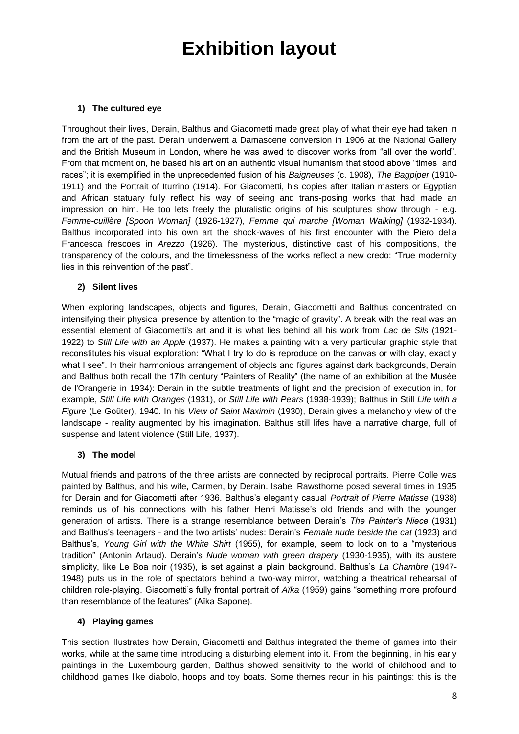# **Exhibition layout**

#### **1) The cultured eye**

Throughout their lives, Derain, Balthus and Giacometti made great play of what their eye had taken in from the art of the past. Derain underwent a Damascene conversion in 1906 at the National Gallery and the British Museum in London, where he was awed to discover works from "all over the world". From that moment on, he based his art on an authentic visual humanism that stood above "times and races"; it is exemplified in the unprecedented fusion of his *Baigneuses* (c. 1908), *The Bagpiper* (1910- 1911) and the Portrait of Iturrino (1914). For Giacometti, his copies after Italian masters or Egyptian and African statuary fully reflect his way of seeing and trans-posing works that had made an impression on him. He too lets freely the pluralistic origins of his sculptures show through - e.g. *Femme-cuillère [Spoon Woman]* (1926-1927), *Femme qui marche [Woman Walking]* (1932-1934). Balthus incorporated into his own art the shock-waves of his first encounter with the Piero della Francesca frescoes in *Arezzo* (1926). The mysterious, distinctive cast of his compositions, the transparency of the colours, and the timelessness of the works reflect a new credo: "True modernity lies in this reinvention of the past".

#### **2) Silent lives**

When exploring landscapes, objects and figures, Derain, Giacometti and Balthus concentrated on intensifying their physical presence by attention to the "magic of gravity". A break with the real was an essential element of Giacometti's art and it is what lies behind all his work from *Lac de Sils* (1921- 1922) to *Still Life with an Apple* (1937). He makes a painting with a very particular graphic style that reconstitutes his visual exploration: "What I try to do is reproduce on the canvas or with clay, exactly what I see". In their harmonious arrangement of objects and figures against dark backgrounds, Derain and Balthus both recall the 17th century "Painters of Reality" (the name of an exhibition at the Musée de l'Orangerie in 1934): Derain in the subtle treatments of light and the precision of execution in, for example, *Still Life with Oranges* (1931), or *Still Life with Pears* (1938-1939); Balthus in Still *Life with a Figure* (Le Goûter), 1940. In his *View of Saint Maximin* (1930), Derain gives a melancholy view of the landscape - reality augmented by his imagination. Balthus still lifes have a narrative charge, full of suspense and latent violence (Still Life, 1937).

#### **3) The model**

Mutual friends and patrons of the three artists are connected by reciprocal portraits. Pierre Colle was painted by Balthus, and his wife, Carmen, by Derain. Isabel Rawsthorne posed several times in 1935 for Derain and for Giacometti after 1936. Balthus's elegantly casual *Portrait of Pierre Matisse* (1938) reminds us of his connections with his father Henri Matisse's old friends and with the younger generation of artists. There is a strange resemblance between Derain's *The Painter's Niece* (1931) and Balthus's teenagers - and the two artists' nudes: Derain's *Female nude beside the cat* (1923) and Balthus's, *Young Girl with the White Shirt* (1955), for example, seem to lock on to a "mysterious tradition" (Antonin Artaud). Derain's *Nude woman with green drapery* (1930-1935), with its austere simplicity, like Le Boa noir (1935), is set against a plain background. Balthus's *La Chambre* (1947- 1948) puts us in the role of spectators behind a two-way mirror, watching a theatrical rehearsal of children role-playing. Giacometti's fully frontal portrait of *Aïka* (1959) gains "something more profound than resemblance of the features" (Aïka Sapone).

#### **4) Playing games**

This section illustrates how Derain, Giacometti and Balthus integrated the theme of games into their works, while at the same time introducing a disturbing element into it. From the beginning, in his early paintings in the Luxembourg garden, Balthus showed sensitivity to the world of childhood and to childhood games like diabolo, hoops and toy boats. Some themes recur in his paintings: this is the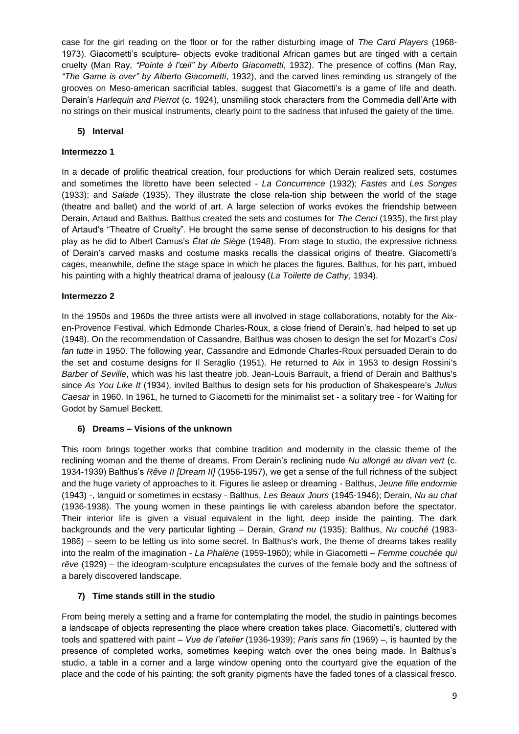case for the girl reading on the floor or for the rather disturbing image of *The Card Players* (1968- 1973). Giacometti's sculpture- objects evoke traditional African games but are tinged with a certain cruelty (Man Ray, *"Pointe à l'œil" by Alberto Giacometti*, 1932). The presence of coffins (Man Ray, *"The Game is over" by Alberto Giacometti*, 1932), and the carved lines reminding us strangely of the grooves on Meso-american sacrificial tables, suggest that Giacometti's is a game of life and death. Derain's *Harlequin and Pierrot* (c. 1924), unsmiling stock characters from the Commedia dell'Arte with no strings on their musical instruments, clearly point to the sadness that infused the gaiety of the time.

#### **5) Interval**

#### **Intermezzo 1**

In a decade of prolific theatrical creation, four productions for which Derain realized sets, costumes and sometimes the libretto have been selected - *La Concurrence* (1932); *Fastes* and *Les Songes* (1933); and *Salade* (1935). They illustrate the close rela-tion ship between the world of the stage (theatre and ballet) and the world of art. A large selection of works evokes the friendship between Derain, Artaud and Balthus. Balthus created the sets and costumes for *The Cenci* (1935), the first play of Artaud's "Theatre of Cruelty". He brought the same sense of deconstruction to his designs for that play as he did to Albert Camus's *État de Siège* (1948). From stage to studio, the expressive richness of Derain's carved masks and costume masks recalls the classical origins of theatre. Giacometti's cages, meanwhile, define the stage space in which he places the figures. Balthus, for his part, imbued his painting with a highly theatrical drama of jealousy (*La Toilette de Cathy*, 1934).

#### **Intermezzo 2**

In the 1950s and 1960s the three artists were all involved in stage collaborations, notably for the Aixen-Provence Festival, which Edmonde Charles-Roux, a close friend of Derain's, had helped to set up (1948). On the recommendation of Cassandre, Balthus was chosen to design the set for Mozart's *Così fan tutte* in 1950. The following year, Cassandre and Edmonde Charles-Roux persuaded Derain to do the set and costume designs for Il Seraglio (1951). He returned to Aix in 1953 to design Rossini's *Barber of Seville*, which was his last theatre job. Jean-Louis Barrault, a friend of Derain and Balthus's since *As You Like It* (1934), invited Balthus to design sets for his production of Shakespeare's *Julius Caesar* in 1960. In 1961, he turned to Giacometti for the minimalist set - a solitary tree - for Waiting for Godot by Samuel Beckett.

#### **6) Dreams – Visions of the unknown**

This room brings together works that combine tradition and modernity in the classic theme of the reclining woman and the theme of dreams. From Derain's reclining nude *Nu allongé au divan vert* (c. 1934-1939) Balthus's *Rêve II [Dream II]* (1956-1957), we get a sense of the full richness of the subject and the huge variety of approaches to it. Figures lie asleep or dreaming - Balthus, *Jeune fille endormie* (1943) -, languid or sometimes in ecstasy - Balthus, *Les Beaux Jours* (1945-1946); Derain, *Nu au chat* (1936-1938). The young women in these paintings lie with careless abandon before the spectator. Their interior life is given a visual equivalent in the light, deep inside the painting. The dark backgrounds and the very particular lighting – Derain, *Grand nu* (1935); Balthus, *Nu couché* (1983- 1986) – seem to be letting us into some secret. In Balthus's work, the theme of dreams takes reality into the realm of the imagination - *La Phalène* (1959-1960); while in Giacometti – *Femme couchée qui rêve* (1929) – the ideogram-sculpture encapsulates the curves of the female body and the softness of a barely discovered landscape.

#### **7) Time stands still in the studio**

From being merely a setting and a frame for contemplating the model, the studio in paintings becomes a landscape of objects representing the place where creation takes place. Giacometti's, cluttered with tools and spattered with paint – *Vue de l'atelier* (1936-1939); *Paris sans fin* (1969) –, is haunted by the presence of completed works, sometimes keeping watch over the ones being made. In Balthus's studio, a table in a corner and a large window opening onto the courtyard give the equation of the place and the code of his painting; the soft granity pigments have the faded tones of a classical fresco.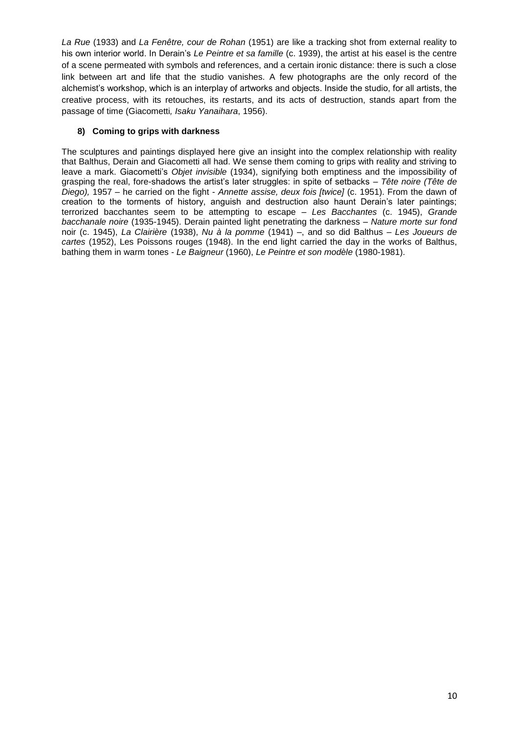*La Rue* (1933) and *La Fenêtre, cour de Rohan* (1951) are like a tracking shot from external reality to his own interior world. In Derain's *Le Peintre et sa famille* (c. 1939), the artist at his easel is the centre of a scene permeated with symbols and references, and a certain ironic distance: there is such a close link between art and life that the studio vanishes. A few photographs are the only record of the alchemist's workshop, which is an interplay of artworks and objects. Inside the studio, for all artists, the creative process, with its retouches, its restarts, and its acts of destruction, stands apart from the passage of time (Giacometti*, Isaku Yanaihara*, 1956).

#### **8) Coming to grips with darkness**

The sculptures and paintings displayed here give an insight into the complex relationship with reality that Balthus, Derain and Giacometti all had. We sense them coming to grips with reality and striving to leave a mark. Giacometti's *Objet invisible* (1934), signifying both emptiness and the impossibility of grasping the real, fore-shadows the artist's later struggles: in spite of setbacks – *Tête noire (Tête de Diego),* 1957 – he carried on the fight - *Annette assise, deux fois [twice]* (c. 1951). From the dawn of creation to the torments of history, anguish and destruction also haunt Derain's later paintings; terrorized bacchantes seem to be attempting to escape – *Les Bacchantes* (c. 1945), *Grande bacchanale noire* (1935-1945). Derain painted light penetrating the darkness – *Nature morte sur fond* noir (c. 1945), *La Clairière* (1938), *Nu à la pomme* (1941) –, and so did Balthus – *Les Joueurs de cartes* (1952), Les Poissons rouges (1948). In the end light carried the day in the works of Balthus, bathing them in warm tones - *Le Baigneur* (1960), *Le Peintre et son modèle* (1980-1981).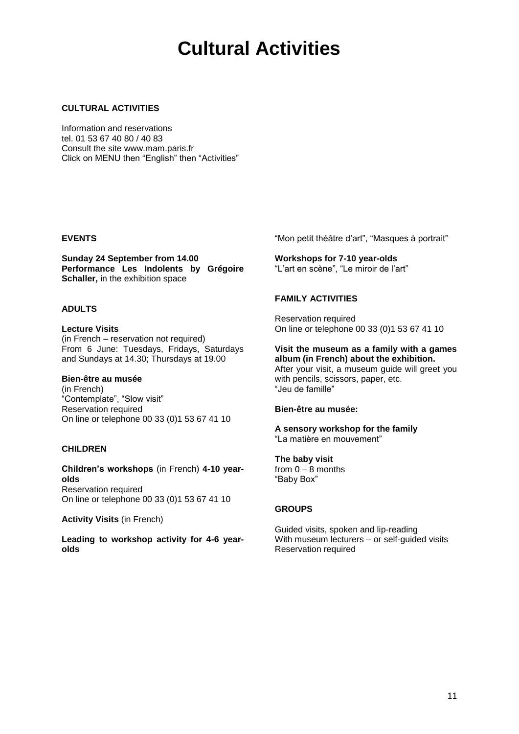## **Cultural Activities**

#### **CULTURAL ACTIVITIES**

Information and reservations tel. 01 53 67 40 80 / 40 83 Consult the site www.mam.paris.fr Click on MENU then "English" then "Activities"

#### **EVENTS**

**Sunday 24 September from 14.00 Performance Les Indolents by Grégoire Schaller,** in the exhibition space

#### **ADULTS**

**Lecture Visits** (in French – reservation not required) From 6 June: Tuesdays, Fridays, Saturdays and Sundays at 14.30; Thursdays at 19.00

#### **Bien-être au musée**

(in French) "Contemplate", "Slow visit" Reservation required On line or telephone 00 33 (0)1 53 67 41 10

#### **CHILDREN**

**Children's workshops** (in French) **4-10 yearolds** Reservation required On line or telephone 00 33 (0)1 53 67 41 10

**Activity Visits** (in French)

**Leading to workshop activity for 4-6 yearolds**

"Mon petit théâtre d'art", "Masques à portrait"

**Workshops for 7-10 year-olds** "L'art en scène", "Le miroir de l'art"

#### **FAMILY ACTIVITIES**

Reservation required On line or telephone 00 33 (0)1 53 67 41 10

#### **Visit the museum as a family with a games album (in French) about the exhibition.**

After your visit, a museum guide will greet you with pencils, scissors, paper, etc. "Jeu de famille"

#### **Bien-être au musée:**

**A sensory workshop for the family** "La matière en mouvement"

**The baby visit**  from  $0 - 8$  months "Baby Box"

#### **GROUPS**

Guided visits, spoken and lip-reading With museum lecturers – or self-guided visits Reservation required